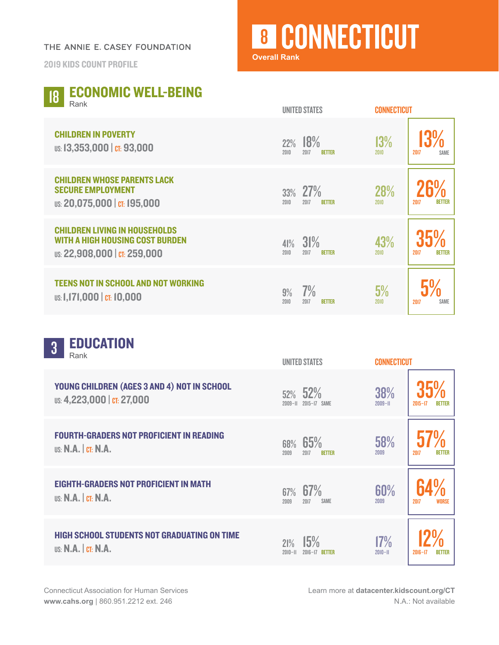## THE ANNIE E. CASEY FOUNDATION

2019 KIDS COUNT PROFILE

## **8 CONNECTICUT**

**Overall Rank**

| <b>ECONOMIC WELL-BEING</b><br>18<br>Rank                                                                       | <b>UNITED STATES</b>                        | <b>CONNECTICUT</b>                   |
|----------------------------------------------------------------------------------------------------------------|---------------------------------------------|--------------------------------------|
| <b>CHILDREN IN POVERTY</b><br>US: 13,353,000   CT: 93,000                                                      | 18%<br>22%<br>2010<br>2017<br><b>BETTER</b> | 13%<br>2010<br>2017<br><b>SAME</b>   |
| <b>CHILDREN WHOSE PARENTS LACK</b><br><b>SECURE EMPLOYMENT</b><br>US: 20,075,000   CT: 195,000                 | 27%<br>33%<br>2010<br>2017<br><b>BETTER</b> | 28%<br>2010<br>2017<br><b>BETTER</b> |
| <b>CHILDREN LIVING IN HOUSEHOLDS</b><br><b>WITH A HIGH HOUSING COST BURDEN</b><br>US: 22,908,000   CT: 259,000 | 31%<br>41%<br>2010<br>2017<br><b>BETTER</b> | 43%<br>2010<br>2017<br><b>BETTER</b> |
| <b>TEENS NOT IN SCHOOL AND NOT WORKING</b><br>US: 1,171,000   CT: 10,000                                       | 7%<br>9%<br>2010<br>2017<br><b>RETTER</b>   | 5%<br><b>SAME</b><br>2010<br>2017    |

| <b>EDUCATION</b><br>$\overline{3}$<br>Rank                                       | <b>UNITED STATES</b>                        | <b>CONNECTICUT</b>                          |
|----------------------------------------------------------------------------------|---------------------------------------------|---------------------------------------------|
| YOUNG CHILDREN (AGES 3 AND 4) NOT IN SCHOOL<br>US: 4,223,000   CT: 27,000        | 52% 52%<br>2015-17 SAME<br>$2009 - H$       | 38%<br>$2009 - H$<br>$2015 - 17$            |
| <b>FOURTH-GRADERS NOT PROFICIENT IN READING</b><br>US: N.A.  CI: N.A.            | 65%<br>68%<br>2009<br>2017<br><b>BETTER</b> | 58%<br>2009<br>2017<br><b>BETTER</b>        |
| <b>EIGHTH-GRADERS NOT PROFICIENT IN MATH</b><br><b>US: N.A.</b>   CT: N.A.       | $67\%$ 67%<br>2009<br>2017<br>SAME          | 60%<br>2009<br>2017<br>WORSE                |
| <b>HIGH SCHOOL STUDENTS NOT GRADUATING ON TIME</b><br><b>US: N.A.   CT: N.A.</b> | 15%<br>21%<br>$2010 - 11$<br>2016-17 BETTER | 17%<br>$2010 - 11$<br>$2016 - 17$<br>BETTER |

Learn more at **[datacenter.kidscount.org/CT](https://datacenter.kidscount.org/data#CT/2/0/char/0)** N.A.: Not available